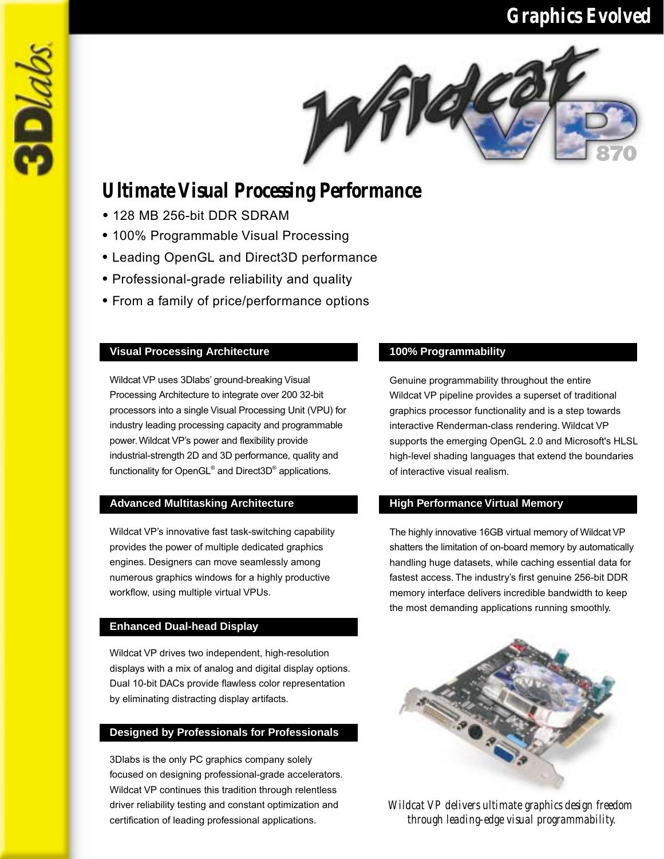# *Graphics Evolved*



# *Ultimate Visual Processing Performance*

• 128 MB 256-bit DDR SDRAM

 $3D$ 

- 100% Programmable Visual Processing
- Leading OpenGL and Direct3D performance
- Professional-grade reliability and quality
- From a family of price/performance options

# **Visual Processing Architecture 100% Programmability**

Wildcat VP uses 3Dlabs' ground-breaking Visual Processing Architecture to integrate over 200 32-bit processors into a single Visual Processing Unit (VPU) for industry leading processing capacity and programmable power. Wildcat VP's power and flexibility provide industrial-strength 2D and 3D performance, quality and functionality for OpenGL<sup>®</sup> and Direct3D<sup>®</sup> applications.

# **Advanced Multitasking Architecture High Performance Virtual Memory**

Wildcat VP's innovative fast task-switching capability provides the power of multiple dedicated graphics engines. Designers can move seamlessly among numerous graphics windows for a highly productive workflow, using multiple virtual VPUs.

## **Enhanced Dual-head Display**

Wildcat VP drives two independent, high-resolution displays with a mix of analog and digital display options. Dual 10-bit DACs provide flawless color representation by eliminating distracting display artifacts.

## **Designed by Professionals for Professionals**

3Dlabs is the only PC graphics company solely focused on designing professional-grade accelerators. Wildcat VP continues this tradition through relentless driver reliability testing and constant optimization and certification of leading professional applications.

Genuine programmability throughout the entire Wildcat VP pipeline provides a superset of traditional graphics processor functionality and is a step towards interactive Renderman-class rendering. Wildcat VP supports the emerging OpenGL 2.0 and Microsoft's HLSL high-level shading languages that extend the boundaries of interactive visual realism.

The highly innovative 16GB virtual memory of Wildcat VP shatters the limitation of on-board memory by automatically handling huge datasets, while caching essential data for fastest access. The industry's first genuine 256-bit DDR memory interface delivers incredible bandwidth to keep the most demanding applications running smoothly.



*Wildcat VP delivers ultimate graphics design freedom through leading-edge visual programmability.*